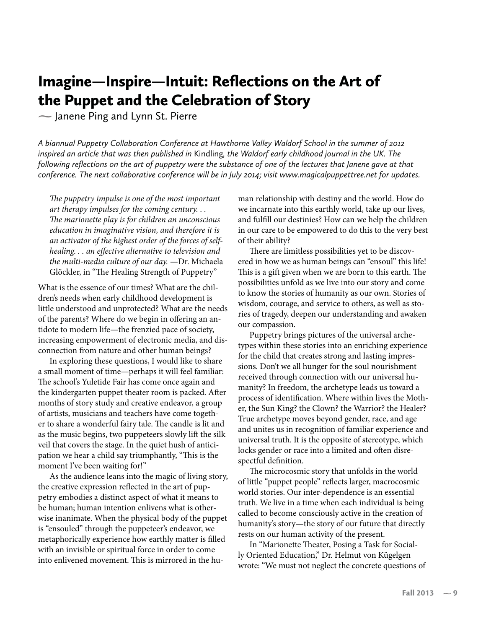## Imagine—Inspire—Intuit: Reflections on the Art of the Puppet and the Celebration of Story

**-** Janene Ping and Lynn St. Pierre

*A biannual Puppetry Collaboration Conference at Hawthorne Valley Waldorf School in the summer of 2012 inspired an article that was then published in* Kindling*, the Waldorf early childhood journal in the UK. The following reflections on the art of puppetry were the substance of one of the lectures that Janene gave at that conference. The next collaborative conference will be in July 2014; visit www.magicalpuppettree.net for updates.*

*The puppetry impulse is one of the most important art therapy impulses for the coming century. . . The marionette play is for children an unconscious education in imaginative vision, and therefore it is an activator of the highest order of the forces of selfhealing. . . an effective alternative to television and the multi-media culture of our day.* —Dr. Michaela Glöckler, in "The Healing Strength of Puppetry"

What is the essence of our times? What are the children's needs when early childhood development is little understood and unprotected? What are the needs of the parents? Where do we begin in offering an antidote to modern life—the frenzied pace of society, increasing empowerment of electronic media, and disconnection from nature and other human beings?

In exploring these questions, I would like to share a small moment of time—perhaps it will feel familiar: The school's Yuletide Fair has come once again and the kindergarten puppet theater room is packed. After months of story study and creative endeavor, a group of artists, musicians and teachers have come together to share a wonderful fairy tale. The candle is lit and as the music begins, two puppeteers slowly lift the silk veil that covers the stage. In the quiet hush of anticipation we hear a child say triumphantly, "This is the moment I've been waiting for!"

As the audience leans into the magic of living story, the creative expression reflected in the art of puppetry embodies a distinct aspect of what it means to be human; human intention enlivens what is otherwise inanimate. When the physical body of the puppet is "ensouled" through the puppeteer's endeavor, we metaphorically experience how earthly matter is filled with an invisible or spiritual force in order to come into enlivened movement. This is mirrored in the human relationship with destiny and the world. How do we incarnate into this earthly world, take up our lives, and fulfill our destinies? How can we help the children in our care to be empowered to do this to the very best of their ability?

There are limitless possibilities yet to be discovered in how we as human beings can "ensoul" this life! This is a gift given when we are born to this earth. The possibilities unfold as we live into our story and come to know the stories of humanity as our own. Stories of wisdom, courage, and service to others, as well as stories of tragedy, deepen our understanding and awaken our compassion.

Puppetry brings pictures of the universal archetypes within these stories into an enriching experience for the child that creates strong and lasting impressions. Don't we all hunger for the soul nourishment received through connection with our universal humanity? In freedom, the archetype leads us toward a process of identification. Where within lives the Mother, the Sun King? the Clown? the Warrior? the Healer? True archetype moves beyond gender, race, and age and unites us in recognition of familiar experience and universal truth. It is the opposite of stereotype, which locks gender or race into a limited and often disrespectful definition.

The microcosmic story that unfolds in the world of little "puppet people" reflects larger, macrocosmic world stories. Our inter-dependence is an essential truth. We live in a time when each individual is being called to become consciously active in the creation of humanity's story—the story of our future that directly rests on our human activity of the present.

In "Marionette Theater, Posing a Task for Socially Oriented Education," Dr. Helmut von Kügelgen wrote: "We must not neglect the concrete questions of